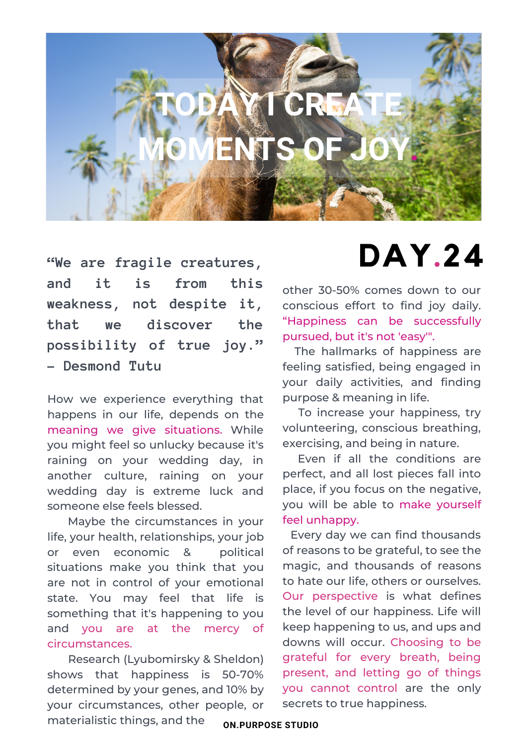

**"We are fragile creatures, and it is from this weakness, not despite it, that we discover the possibility of true joy." ― Desmond Tutu**

How we experience everything that happens in our life, depends on the meaning we give situations. While you might feel so unlucky because it's raining on your wedding day, in another culture, raining on your wedding day is extreme luck and someone else feels blessed.

Maybe the circumstances in your life, your health, relationships, your job or even economic & political situations make you think that you are not in control of your emotional state. You may feel that life is something that it's happening to you and you are at the mercy of circumstances.

Research (Lyubomirsky & Sheldon) shows that happiness is 50-70% determined by your genes, and 10% by your circumstances, other people, or materialistic things, and the

## **DAY.24**

other 30-50% comes down to our conscious effort to find joy daily. "Happiness can be successfully pursued, but it's not 'easy'".

The hallmarks of happiness are feeling satisfied, being engaged in your daily activities, and finding purpose & meaning in life.

To increase your happiness, try volunteering, conscious breathing, exercising, and being in nature.

Even if all the conditions are perfect, and all lost pieces fall into place, if you focus on the negative, you will be able to make yourself feel unhappy.

Every day we can find thousands of reasons to be grateful, to see the magic, and thousands of reasons to hate our life, others or ourselves. Our perspective is what defines the level of our happiness. Life will keep happening to us, and ups and downs will occur. Choosing to be grateful for every breath, being present, and letting go of things you cannot control are the only secrets to true happiness.

**ON.PURPOSE STUDIO**